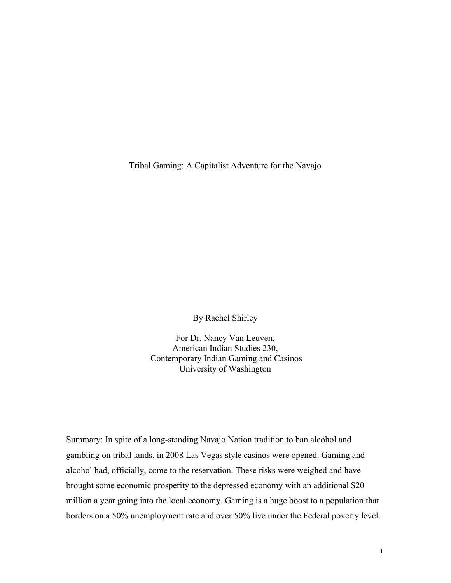Tribal Gaming: A Capitalist Adventure for the Navajo

By Rachel Shirley

For Dr. Nancy Van Leuven, American Indian Studies 230, Contemporary Indian Gaming and Casinos University of Washington

Summary: In spite of a long-standing Navajo Nation tradition to ban alcohol and gambling on tribal lands, in 2008 Las Vegas style casinos were opened. Gaming and alcohol had, officially, come to the reservation. These risks were weighed and have brought some economic prosperity to the depressed economy with an additional \$20 million a year going into the local economy. Gaming is a huge boost to a population that borders on a 50% unemployment rate and over 50% live under the Federal poverty level.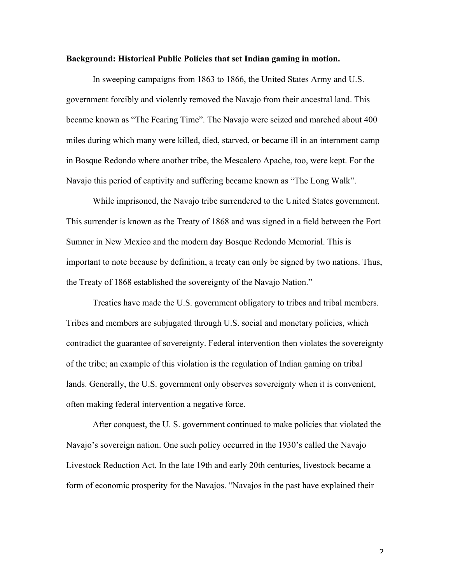## **Background: Historical Public Policies that set Indian gaming in motion.**

In sweeping campaigns from 1863 to 1866, the United States Army and U.S. government forcibly and violently removed the Navajo from their ancestral land. This became known as "The Fearing Time". The Navajo were seized and marched about 400 miles during which many were killed, died, starved, or became ill in an internment camp in Bosque Redondo where another tribe, the Mescalero Apache, too, were kept. For the Navajo this period of captivity and suffering became known as "The Long Walk".

While imprisoned, the Navajo tribe surrendered to the United States government. This surrender is known as the Treaty of 1868 and was signed in a field between the Fort Sumner in New Mexico and the modern day Bosque Redondo Memorial. This is important to note because by definition, a treaty can only be signed by two nations. Thus, the Treaty of 1868 established the sovereignty of the Navajo Nation."

Treaties have made the U.S. government obligatory to tribes and tribal members. Tribes and members are subjugated through U.S. social and monetary policies, which contradict the guarantee of sovereignty. Federal intervention then violates the sovereignty of the tribe; an example of this violation is the regulation of Indian gaming on tribal lands. Generally, the U.S. government only observes sovereignty when it is convenient, often making federal intervention a negative force.

After conquest, the U. S. government continued to make policies that violated the Navajo's sovereign nation. One such policy occurred in the 1930's called the Navajo Livestock Reduction Act. In the late 19th and early 20th centuries, livestock became a form of economic prosperity for the Navajos. "Navajos in the past have explained their

 $\mathfrak{p}$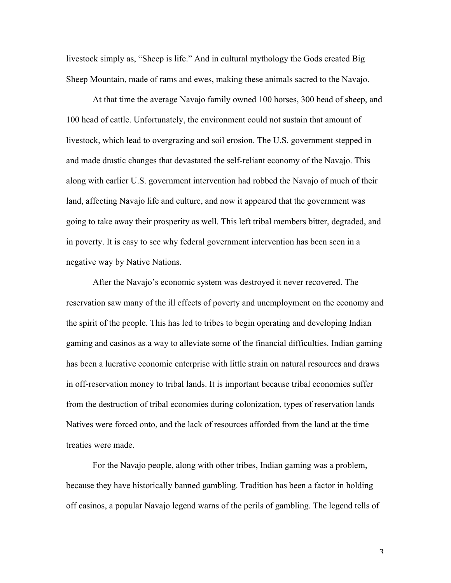livestock simply as, "Sheep is life." And in cultural mythology the Gods created Big Sheep Mountain, made of rams and ewes, making these animals sacred to the Navajo.

At that time the average Navajo family owned 100 horses, 300 head of sheep, and 100 head of cattle. Unfortunately, the environment could not sustain that amount of livestock, which lead to overgrazing and soil erosion. The U.S. government stepped in and made drastic changes that devastated the self-reliant economy of the Navajo. This along with earlier U.S. government intervention had robbed the Navajo of much of their land, affecting Navajo life and culture, and now it appeared that the government was going to take away their prosperity as well. This left tribal members bitter, degraded, and in poverty. It is easy to see why federal government intervention has been seen in a negative way by Native Nations.

After the Navajo's economic system was destroyed it never recovered. The reservation saw many of the ill effects of poverty and unemployment on the economy and the spirit of the people. This has led to tribes to begin operating and developing Indian gaming and casinos as a way to alleviate some of the financial difficulties. Indian gaming has been a lucrative economic enterprise with little strain on natural resources and draws in off-reservation money to tribal lands. It is important because tribal economies suffer from the destruction of tribal economies during colonization, types of reservation lands Natives were forced onto, and the lack of resources afforded from the land at the time treaties were made.

For the Navajo people, along with other tribes, Indian gaming was a problem, because they have historically banned gambling. Tradition has been a factor in holding off casinos, a popular Navajo legend warns of the perils of gambling. The legend tells of

3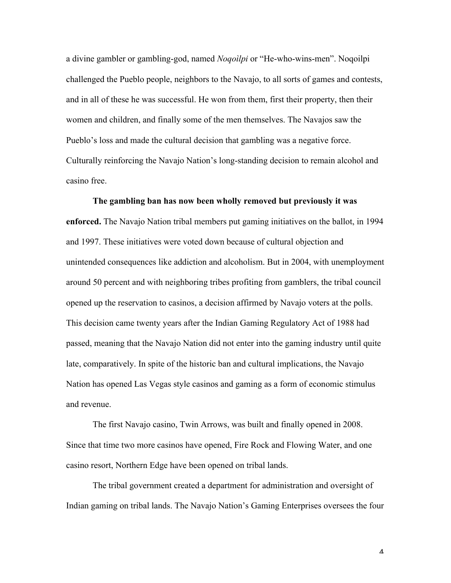a divine gambler or gambling-god, named *Noqoìlpi* or "He-who-wins-men". Noqoilpi challenged the Pueblo people, neighbors to the Navajo, to all sorts of games and contests, and in all of these he was successful. He won from them, first their property, then their women and children, and finally some of the men themselves. The Navajos saw the Pueblo's loss and made the cultural decision that gambling was a negative force. Culturally reinforcing the Navajo Nation's long-standing decision to remain alcohol and casino free.

**The gambling ban has now been wholly removed but previously it was enforced.** The Navajo Nation tribal members put gaming initiatives on the ballot, in 1994 and 1997. These initiatives were voted down because of cultural objection and unintended consequences like addiction and alcoholism. But in 2004, with unemployment around 50 percent and with neighboring tribes profiting from gamblers, the tribal council opened up the reservation to casinos, a decision affirmed by Navajo voters at the polls. This decision came twenty years after the Indian Gaming Regulatory Act of 1988 had passed, meaning that the Navajo Nation did not enter into the gaming industry until quite late, comparatively. In spite of the historic ban and cultural implications, the Navajo Nation has opened Las Vegas style casinos and gaming as a form of economic stimulus and revenue.

The first Navajo casino, Twin Arrows, was built and finally opened in 2008. Since that time two more casinos have opened, Fire Rock and Flowing Water, and one casino resort, Northern Edge have been opened on tribal lands.

The tribal government created a department for administration and oversight of Indian gaming on tribal lands. The Navajo Nation's Gaming Enterprises oversees the four

 $\varDelta$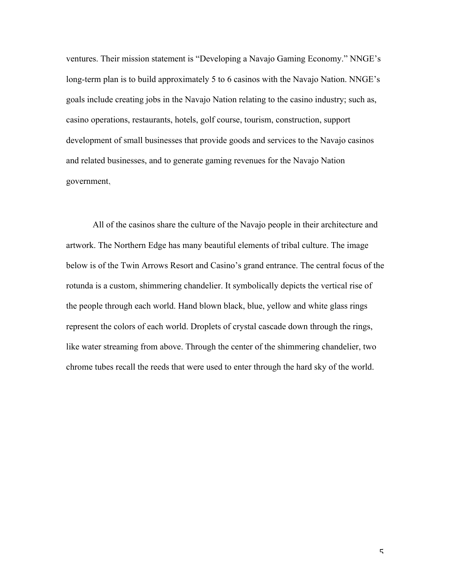ventures. Their mission statement is "Developing a Navajo Gaming Economy." NNGE's long-term plan is to build approximately 5 to 6 casinos with the Navajo Nation. NNGE's goals include creating jobs in the Navajo Nation relating to the casino industry; such as, casino operations, restaurants, hotels, golf course, tourism, construction, support development of small businesses that provide goods and services to the Navajo casinos and related businesses, and to generate gaming revenues for the Navajo Nation government.

All of the casinos share the culture of the Navajo people in their architecture and artwork. The Northern Edge has many beautiful elements of tribal culture. The image below is of the Twin Arrows Resort and Casino's grand entrance. The central focus of the rotunda is a custom, shimmering chandelier. It symbolically depicts the vertical rise of the people through each world. Hand blown black, blue, yellow and white glass rings represent the colors of each world. Droplets of crystal cascade down through the rings, like water streaming from above. Through the center of the shimmering chandelier, two chrome tubes recall the reeds that were used to enter through the hard sky of the world.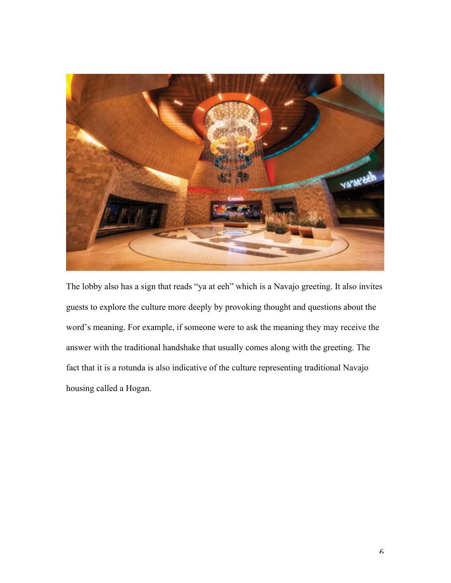

The lobby also has a sign that reads "ya at eeh" which is a Navajo greeting. It also invites guests to explore the culture more deeply by provoking thought and questions about the word's meaning. For example, if someone were to ask the meaning they may receive the answer with the traditional handshake that usually comes along with the greeting. The fact that it is a rotunda is also indicative of the culture representing traditional Navajo housing called a Hogan.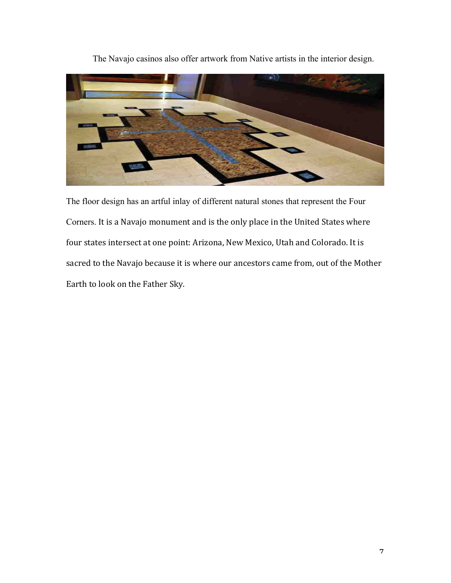

The Navajo casinos also offer artwork from Native artists in the interior design.

The floor design has an artful inlay of different natural stones that represent the Four Corners. It is a Navajo monument and is the only place in the United States where four states intersect at one point: Arizona, New Mexico, Utah and Colorado. It is sacred to the Navajo because it is where our ancestors came from, out of the Mother Earth to look on the Father Sky.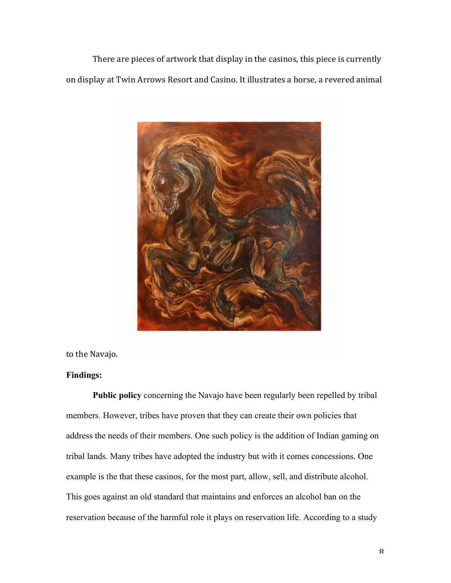There are pieces of artwork that display in the casinos, this piece is currently on display at Twin Arrows Resort and Casino. It illustrates a horse, a revered animal



to the Navajo.

## **Findings:**

**Public policy** concerning the Navajo have been regularly been repelled by tribal members. However, tribes have proven that they can create their own policies that address the needs of their members. One such policy is the addition of Indian gaming on tribal lands. Many tribes have adopted the industry but with it comes concessions. One example is the that these casinos, for the most part, allow, sell, and distribute alcohol. This goes against an old standard that maintains and enforces an alcohol ban on the reservation because of the harmful role it plays on reservation life. According to a study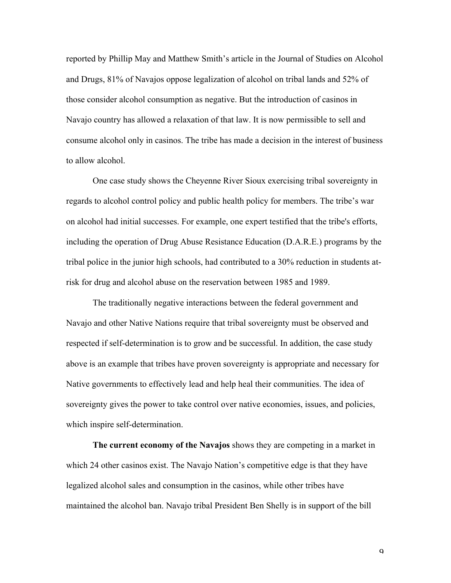reported by Phillip May and Matthew Smith's article in the Journal of Studies on Alcohol and Drugs, 81% of Navajos oppose legalization of alcohol on tribal lands and 52% of those consider alcohol consumption as negative. But the introduction of casinos in Navajo country has allowed a relaxation of that law. It is now permissible to sell and consume alcohol only in casinos. The tribe has made a decision in the interest of business to allow alcohol.

One case study shows the Cheyenne River Sioux exercising tribal sovereignty in regards to alcohol control policy and public health policy for members. The tribe's war on alcohol had initial successes. For example, one expert testified that the tribe's efforts, including the operation of Drug Abuse Resistance Education (D.A.R.E.) programs by the tribal police in the junior high schools, had contributed to a 30% reduction in students atrisk for drug and alcohol abuse on the reservation between 1985 and 1989.

The traditionally negative interactions between the federal government and Navajo and other Native Nations require that tribal sovereignty must be observed and respected if self-determination is to grow and be successful. In addition, the case study above is an example that tribes have proven sovereignty is appropriate and necessary for Native governments to effectively lead and help heal their communities. The idea of sovereignty gives the power to take control over native economies, issues, and policies, which inspire self-determination.

**The current economy of the Navajos** shows they are competing in a market in which 24 other casinos exist. The Navajo Nation's competitive edge is that they have legalized alcohol sales and consumption in the casinos, while other tribes have maintained the alcohol ban. Navajo tribal President Ben Shelly is in support of the bill

 $\mathbf Q$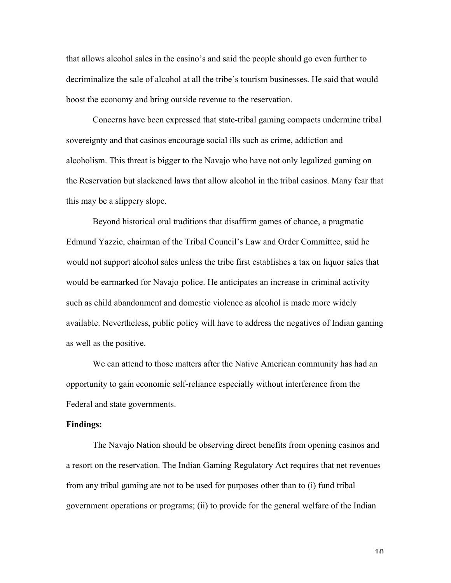that allows alcohol sales in the casino's and said the people should go even further to decriminalize the sale of alcohol at all the tribe's tourism businesses. He said that would boost the economy and bring outside revenue to the reservation.

Concerns have been expressed that state-tribal gaming compacts undermine tribal sovereignty and that casinos encourage social ills such as crime, addiction and alcoholism. This threat is bigger to the Navajo who have not only legalized gaming on the Reservation but slackened laws that allow alcohol in the tribal casinos. Many fear that this may be a slippery slope.

Beyond historical oral traditions that disaffirm games of chance, a pragmatic Edmund Yazzie, chairman of the Tribal Council's Law and Order Committee, said he would not support alcohol sales unless the tribe first establishes a tax on liquor sales that would be earmarked for Navajo police. He anticipates an increase in criminal activity such as child abandonment and domestic violence as alcohol is made more widely available. Nevertheless, public policy will have to address the negatives of Indian gaming as well as the positive.

We can attend to those matters after the Native American community has had an opportunity to gain economic self-reliance especially without interference from the Federal and state governments.

## **Findings:**

The Navajo Nation should be observing direct benefits from opening casinos and a resort on the reservation. The Indian Gaming Regulatory Act requires that net revenues from any tribal gaming are not to be used for purposes other than to (i) fund tribal government operations or programs; (ii) to provide for the general welfare of the Indian

 $1<sub>0</sub>$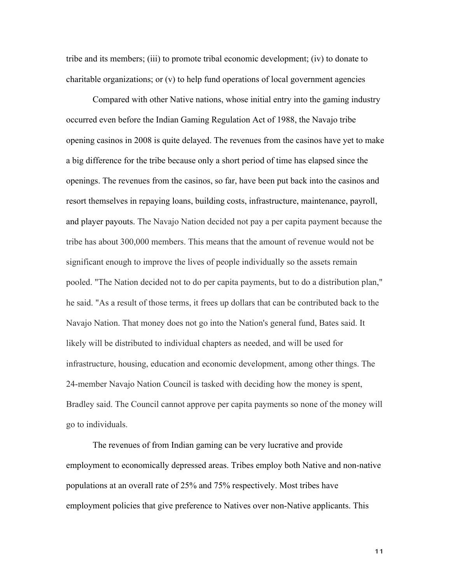tribe and its members; (iii) to promote tribal economic development; (iv) to donate to charitable organizations; or (v) to help fund operations of local government agencies

Compared with other Native nations, whose initial entry into the gaming industry occurred even before the Indian Gaming Regulation Act of 1988, the Navajo tribe opening casinos in 2008 is quite delayed. The revenues from the casinos have yet to make a big difference for the tribe because only a short period of time has elapsed since the openings. The revenues from the casinos, so far, have been put back into the casinos and resort themselves in repaying loans, building costs, infrastructure, maintenance, payroll, and player payouts. The Navajo Nation decided not pay a per capita payment because the tribe has about 300,000 members. This means that the amount of revenue would not be significant enough to improve the lives of people individually so the assets remain pooled. "The Nation decided not to do per capita payments, but to do a distribution plan," he said. "As a result of those terms, it frees up dollars that can be contributed back to the Navajo Nation. That money does not go into the Nation's general fund, Bates said. It likely will be distributed to individual chapters as needed, and will be used for infrastructure, housing, education and economic development, among other things. The 24-member Navajo Nation Council is tasked with deciding how the money is spent, Bradley said. The Council cannot approve per capita payments so none of the money will go to individuals.

The revenues of from Indian gaming can be very lucrative and provide employment to economically depressed areas. Tribes employ both Native and non-native populations at an overall rate of 25% and 75% respectively. Most tribes have employment policies that give preference to Natives over non-Native applicants. This

11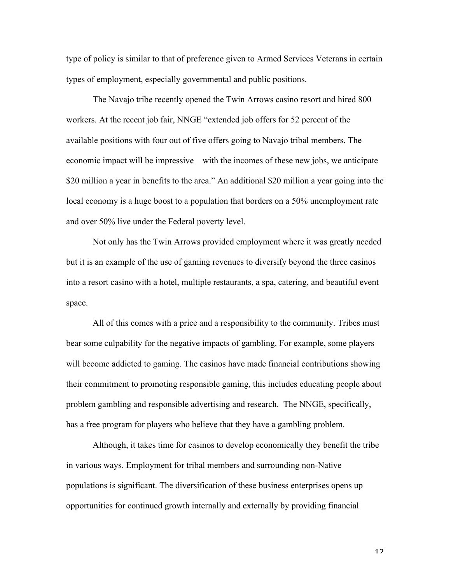type of policy is similar to that of preference given to Armed Services Veterans in certain types of employment, especially governmental and public positions.

The Navajo tribe recently opened the Twin Arrows casino resort and hired 800 workers. At the recent job fair, NNGE "extended job offers for 52 percent of the available positions with four out of five offers going to Navajo tribal members. The economic impact will be impressive—with the incomes of these new jobs, we anticipate \$20 million a year in benefits to the area." An additional \$20 million a year going into the local economy is a huge boost to a population that borders on a 50% unemployment rate and over 50% live under the Federal poverty level.

Not only has the Twin Arrows provided employment where it was greatly needed but it is an example of the use of gaming revenues to diversify beyond the three casinos into a resort casino with a hotel, multiple restaurants, a spa, catering, and beautiful event space.

All of this comes with a price and a responsibility to the community. Tribes must bear some culpability for the negative impacts of gambling. For example, some players will become addicted to gaming. The casinos have made financial contributions showing their commitment to promoting responsible gaming, this includes educating people about problem gambling and responsible advertising and research. The NNGE, specifically, has a free program for players who believe that they have a gambling problem.

Although, it takes time for casinos to develop economically they benefit the tribe in various ways. Employment for tribal members and surrounding non-Native populations is significant. The diversification of these business enterprises opens up opportunities for continued growth internally and externally by providing financial

12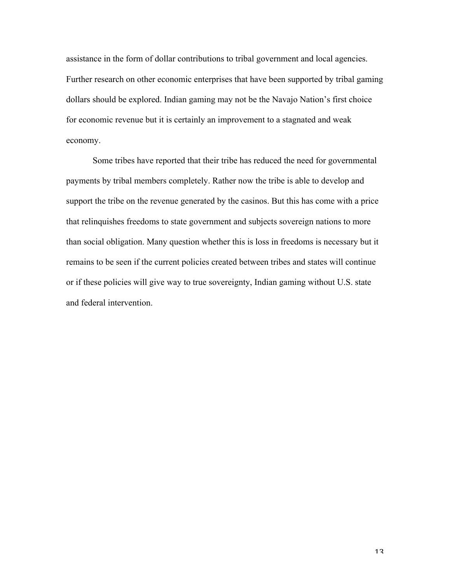assistance in the form of dollar contributions to tribal government and local agencies. Further research on other economic enterprises that have been supported by tribal gaming dollars should be explored. Indian gaming may not be the Navajo Nation's first choice for economic revenue but it is certainly an improvement to a stagnated and weak economy.

Some tribes have reported that their tribe has reduced the need for governmental payments by tribal members completely. Rather now the tribe is able to develop and support the tribe on the revenue generated by the casinos. But this has come with a price that relinquishes freedoms to state government and subjects sovereign nations to more than social obligation. Many question whether this is loss in freedoms is necessary but it remains to be seen if the current policies created between tribes and states will continue or if these policies will give way to true sovereignty, Indian gaming without U.S. state and federal intervention.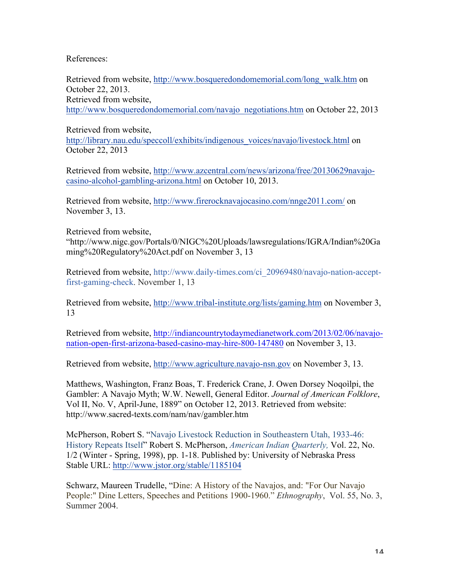References:

Retrieved from website, http://www.bosqueredondomemorial.com/long\_walk.htm on October 22, 2013. Retrieved from website, http://www.bosqueredondomemorial.com/navajo\_negotiations.htm on October 22, 2013

Retrieved from website, http://library.nau.edu/speccoll/exhibits/indigenous\_voices/navajo/livestock.html on October 22, 2013

Retrieved from website, http://www.azcentral.com/news/arizona/free/20130629navajocasino-alcohol-gambling-arizona.html on October 10, 2013.

Retrieved from website, http://www.firerocknavajocasino.com/nnge2011.com/ on November 3, 13.

Retrieved from website,

"http://www.nigc.gov/Portals/0/NIGC%20Uploads/lawsregulations/IGRA/Indian%20Ga ming%20Regulatory%20Act.pdf on November 3, 13

Retrieved from website, http://www.daily-times.com/ci\_20969480/navajo-nation-acceptfirst-gaming-check. November 1, 13

Retrieved from website, http://www.tribal-institute.org/lists/gaming.htm on November 3, 13

Retrieved from website, http://indiancountrytodaymedianetwork.com/2013/02/06/navajonation-open-first-arizona-based-casino-may-hire-800-147480 on November 3, 13.

Retrieved from website, http://www.agriculture.navajo-nsn.gov on November 3, 13.

Matthews, Washington, Franz Boas, T. Frederick Crane, J. Owen Dorsey Noqoìlpi, the Gambler: A Navajo Myth; W.W. Newell, General Editor. *Journal of American Folklore*, Vol II, No. V, April-June, 1889" on October 12, 2013. Retrieved from website: http://www.sacred-texts.com/nam/nav/gambler.htm

McPherson, Robert S. "Navajo Livestock Reduction in Southeastern Utah, 1933-46: History Repeats Itself" Robert S. McPherson, *American Indian Quarterly,* Vol. 22, No. 1/2 (Winter - Spring, 1998), pp. 1-18. Published by: University of Nebraska Press Stable URL: http://www.jstor.org/stable/1185104

Schwarz, Maureen Trudelle, "Dine: A History of the Navajos, and: "For Our Navajo People:" Dine Letters, Speeches and Petitions 1900-1960." *Ethnography*, Vol. 55, No. 3, Summer 2004.